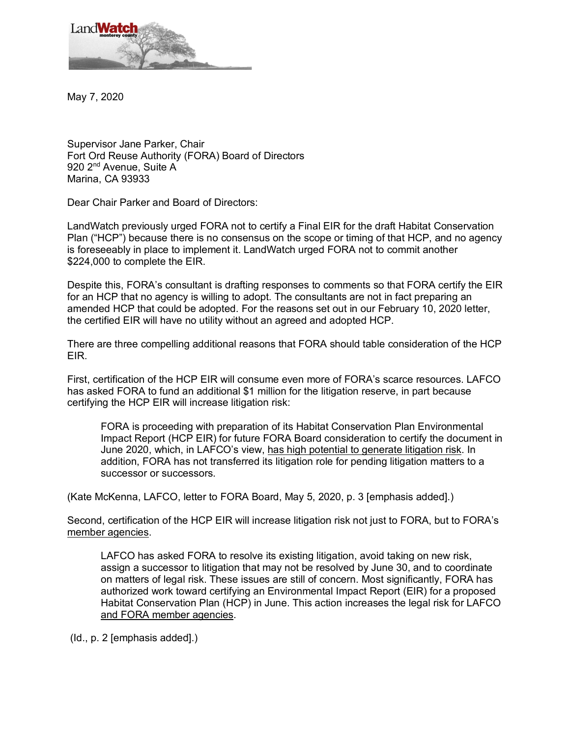

May 7, 2020

Supervisor Jane Parker, Chair Fort Ord Reuse Authority (FORA) Board of Directors 920 2<sup>nd</sup> Avenue, Suite A Marina, CA 93933

Dear Chair Parker and Board of Directors:

LandWatch previously urged FORA not to certify a Final EIR for the draft Habitat Conservation Plan ("HCP") because there is no consensus on the scope or timing of that HCP, and no agency is foreseeably in place to implement it. LandWatch urged FORA not to commit another \$224,000 to complete the EIR.

Despite this, FORA's consultant is drafting responses to comments so that FORA certify the EIR for an HCP that no agency is willing to adopt. The consultants are not in fact preparing an amended HCP that could be adopted. For the reasons set out in our February 10, 2020 letter, the certified EIR will have no utility without an agreed and adopted HCP.

There are three compelling additional reasons that FORA should table consideration of the HCP EIR.

First, certification of the HCP EIR will consume even more of FORA's scarce resources. LAFCO has asked FORA to fund an additional \$1 million for the litigation reserve, in part because certifying the HCP EIR will increase litigation risk:

FORA is proceeding with preparation of its Habitat Conservation Plan Environmental Impact Report (HCP EIR) for future FORA Board consideration to certify the document in June 2020, which, in LAFCO's view, has high potential to generate litigation risk. In addition, FORA has not transferred its litigation role for pending litigation matters to a successor or successors.

(Kate McKenna, LAFCO, letter to FORA Board, May 5, 2020, p. 3 [emphasis added].)

Second, certification of the HCP EIR will increase litigation risk not just to FORA, but to FORA's member agencies.

LAFCO has asked FORA to resolve its existing litigation, avoid taking on new risk, assign a successor to litigation that may not be resolved by June 30, and to coordinate on matters of legal risk. These issues are still of concern. Most significantly, FORA has authorized work toward certifying an Environmental Impact Report (EIR) for a proposed Habitat Conservation Plan (HCP) in June. This action increases the legal risk for LAFCO and FORA member agencies.

(Id., p. 2 [emphasis added].)